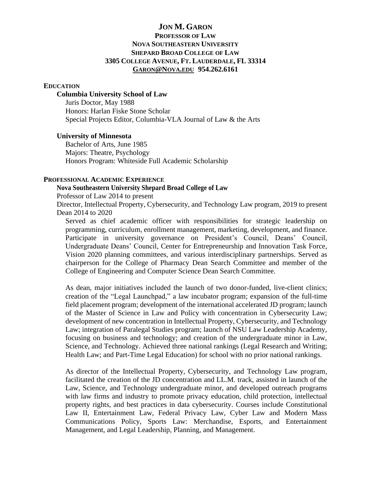# **JON M. GARON PROFESSOR OF LAW NOVA SOUTHEASTERN UNIVERSITY SHEPARD BROAD COLLEGE OF LAW 3305 COLLEGE AVENUE, FT. LAUDERDALE, FL 33314 G[ARON](mailto:Garon@Nova.edu)@NOVA.EDU 954.262.6161**

## **EDUCATION**

#### **Columbia University School of Law**

Juris Doctor, May 1988 Honors: Harlan Fiske Stone Scholar Special Projects Editor, Columbia-VLA Journal of Law & the Arts

## **University of Minnesota**

Bachelor of Arts, June 1985 Majors: Theatre, Psychology Honors Program: Whiteside Full Academic Scholarship

# **PROFESSIONAL ACADEMIC EXPERIENCE**

# **Nova Southeastern University Shepard Broad College of Law**

Professor of Law 2014 to present

Director, Intellectual Property, Cybersecurity, and Technology Law program, 2019 to present Dean 2014 to 2020

Served as chief academic officer with responsibilities for strategic leadership on programming, curriculum, enrollment management, marketing, development, and finance. Participate in university governance on President's Council, Deans' Council, Undergraduate Deans' Council, Center for Entrepreneurship and Innovation Task Force, Vision 2020 planning committees, and various interdisciplinary partnerships. Served as chairperson for the College of Pharmacy Dean Search Committee and member of the College of Engineering and Computer Science Dean Search Committee.

As dean, major initiatives included the launch of two donor-funded, live-client clinics; creation of the "Legal Launchpad," a law incubator program; expansion of the full-time field placement program; development of the international accelerated JD program; launch of the Master of Science in Law and Policy with concentration in Cybersecurity Law; development of new concentration in Intellectual Property, Cybersecurity, and Technology Law; integration of Paralegal Studies program; launch of NSU Law Leadership Academy, focusing on business and technology; and creation of the undergraduate minor in Law, Science, and Technology. Achieved three national rankings (Legal Research and Writing; Health Law; and Part-Time Legal Education) for school with no prior national rankings.

As director of the Intellectual Property, Cybersecurity, and Technology Law program, facilitated the creation of the JD concentration and LL.M. track, assisted in launch of the Law, Science, and Technology undergraduate minor, and developed outreach programs with law firms and industry to promote privacy education, child protection, intellectual property rights, and best practices in data cybersecurity. Courses include Constitutional Law II, Entertainment Law, Federal Privacy Law, Cyber Law and Modern Mass Communications Policy, Sports Law: Merchandise, Esports, and Entertainment Management, and Legal Leadership, Planning, and Management.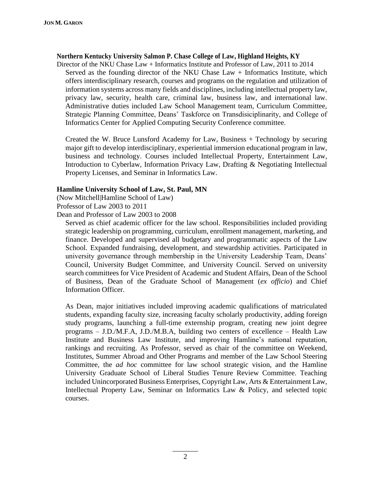#### **Northern Kentucky University Salmon P. Chase College of Law, Highland Heights, KY**

Director of the NKU Chase Law + Informatics Institute and Professor of Law, 2011 to 2014 Served as the founding director of the NKU Chase Law + Informatics Institute, which offers interdisciplinary research, courses and programs on the regulation and utilization of information systems across many fields and disciplines, including intellectual property law, privacy law, security, health care, criminal law, business law, and international law. Administrative duties included Law School Management team, Curriculum Committee, Strategic Planning Committee, Deans' Taskforce on Transdisiciplinarity, and College of Informatics Center for Applied Computing Security Conference committee.

Created the W. Bruce Lunsford Academy for Law, Business + Technology by securing major gift to develop interdisciplinary, experiential immersion educational program in law, business and technology. Courses included Intellectual Property, Entertainment Law, Introduction to Cyberlaw, Information Privacy Law, Drafting & Negotiating Intellectual Property Licenses, and Seminar in Informatics Law.

# **Hamline University School of Law, St. Paul, MN**

(Now Mitchell|Hamline School of Law)

Professor of Law 2003 to 2011

Dean and Professor of Law 2003 to 2008

Served as chief academic officer for the law school. Responsibilities included providing strategic leadership on programming, curriculum, enrollment management, marketing, and finance. Developed and supervised all budgetary and programmatic aspects of the Law School. Expanded fundraising, development, and stewardship activities. Participated in university governance through membership in the University Leadership Team, Deans' Council, University Budget Committee, and University Council. Served on university search committees for Vice President of Academic and Student Affairs, Dean of the School of Business, Dean of the Graduate School of Management (*ex officio*) and Chief Information Officer.

As Dean, major initiatives included improving academic qualifications of matriculated students, expanding faculty size, increasing faculty scholarly productivity, adding foreign study programs, launching a full-time externship program, creating new joint degree programs – J.D./M.F.A, J.D./M.B.A, building two centers of excellence – Health Law Institute and Business Law Institute, and improving Hamline's national reputation, rankings and recruiting. As Professor, served as chair of the committee on Weekend, Institutes, Summer Abroad and Other Programs and member of the Law School Steering Committee, the *ad hoc* committee for law school strategic vision, and the Hamline University Graduate School of Liberal Studies Tenure Review Committee. Teaching included Unincorporated Business Enterprises, Copyright Law, Arts & Entertainment Law, Intellectual Property Law, Seminar on Informatics Law & Policy, and selected topic courses.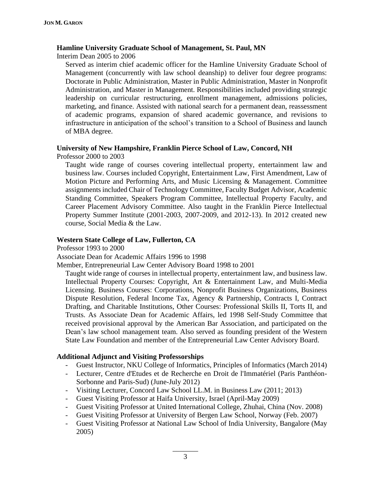#### **Hamline University Graduate School of Management, St. Paul, MN**

Interim Dean 2005 to 2006

Served as interim chief academic officer for the Hamline University Graduate School of Management (concurrently with law school deanship) to deliver four degree programs: Doctorate in Public Administration, Master in Public Administration, Master in Nonprofit Administration, and Master in Management. Responsibilities included providing strategic leadership on curricular restructuring, enrollment management, admissions policies, marketing, and finance. Assisted with national search for a permanent dean, reassessment of academic programs, expansion of shared academic governance, and revisions to infrastructure in anticipation of the school's transition to a School of Business and launch of MBA degree.

# **University of New Hampshire, Franklin Pierce School of Law, Concord, NH** Professor 2000 to 2003

Taught wide range of courses covering intellectual property, entertainment law and business law. Courses included Copyright, Entertainment Law, First Amendment, Law of Motion Picture and Performing Arts, and Music Licensing & Management. Committee assignments included Chair of Technology Committee, Faculty Budget Advisor, Academic Standing Committee, Speakers Program Committee, Intellectual Property Faculty, and Career Placement Advisory Committee. Also taught in the Franklin Pierce Intellectual Property Summer Institute (2001-2003, 2007-2009, and 2012-13). In 2012 created new course, Social Media & the Law.

# **Western State College of Law, Fullerton, CA**

Professor 1993 to 2000

Associate Dean for Academic Affairs 1996 to 1998

Member, Entrepreneurial Law Center Advisory Board 1998 to 2001

Taught wide range of courses in intellectual property, entertainment law, and business law. Intellectual Property Courses: Copyright, Art & Entertainment Law, and Multi-Media Licensing. Business Courses: Corporations, Nonprofit Business Organizations, Business Dispute Resolution, Federal Income Tax, Agency & Partnership, Contracts I, Contract Drafting, and Charitable Institutions, Other Courses: Professional Skills II, Torts II, and Trusts. As Associate Dean for Academic Affairs, led 1998 Self-Study Committee that received provisional approval by the American Bar Association, and participated on the Dean's law school management team. Also served as founding president of the Western State Law Foundation and member of the Entrepreneurial Law Center Advisory Board.

# **Additional Adjunct and Visiting Professorships**

- Guest Instructor, NKU College of Informatics, Principles of Informatics (March 2014)
- Lecturer, Centre d'Etudes et de Recherche en Droit de l'Immatériel (Paris Panthéon-Sorbonne and Paris-Sud) (June-July 2012)
- Visiting Lecturer, Concord Law School LL.M. in Business Law (2011; 2013)
- Guest Visiting Professor at Haifa University, Israel (April-May 2009)
- Guest Visiting Professor at United International College, Zhuhai, China (Nov. 2008)
- Guest Visiting Professor at University of Bergen Law School, Norway (Feb. 2007)
- Guest Visiting Professor at National Law School of India University, Bangalore (May 2005)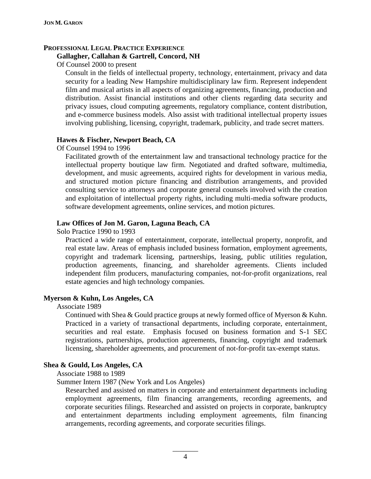# **PROFESSIONAL LEGAL PRACTICE EXPERIENCE**

# **Gallagher, Callahan & Gartrell, Concord, NH**

Of Counsel 2000 to present

Consult in the fields of intellectual property, technology, entertainment, privacy and data security for a leading New Hampshire multidisciplinary law firm. Represent independent film and musical artists in all aspects of organizing agreements, financing, production and distribution. Assist financial institutions and other clients regarding data security and privacy issues, cloud computing agreements, regulatory compliance, content distribution, and e-commerce business models. Also assist with traditional intellectual property issues involving publishing, licensing, copyright, trademark, publicity, and trade secret matters.

# **Hawes & Fischer, Newport Beach, CA**

Of Counsel 1994 to 1996

Facilitated growth of the entertainment law and transactional technology practice for the intellectual property boutique law firm. Negotiated and drafted software, multimedia, development, and music agreements, acquired rights for development in various media, and structured motion picture financing and distribution arrangements, and provided consulting service to attorneys and corporate general counsels involved with the creation and exploitation of intellectual property rights, including multi-media software products, software development agreements, online services, and motion pictures.

# **Law Offices of Jon M. Garon, Laguna Beach, CA**

Solo Practice 1990 to 1993

Practiced a wide range of entertainment, corporate, intellectual property, nonprofit, and real estate law. Areas of emphasis included business formation, employment agreements, copyright and trademark licensing, partnerships, leasing, public utilities regulation, production agreements, financing, and shareholder agreements. Clients included independent film producers, manufacturing companies, not-for-profit organizations, real estate agencies and high technology companies.

# **Myerson & Kuhn, Los Angeles, CA**

Associate 1989

Continued with Shea & Gould practice groups at newly formed office of Myerson & Kuhn. Practiced in a variety of transactional departments, including corporate, entertainment, securities and real estate. Emphasis focused on business formation and S-1 SEC registrations, partnerships, production agreements, financing, copyright and trademark licensing, shareholder agreements, and procurement of not-for-profit tax-exempt status.

# **Shea & Gould, Los Angeles, CA**

Associate 1988 to 1989

Summer Intern 1987 (New York and Los Angeles)

Researched and assisted on matters in corporate and entertainment departments including employment agreements, film financing arrangements, recording agreements, and corporate securities filings. Researched and assisted on projects in corporate, bankruptcy and entertainment departments including employment agreements, film financing arrangements, recording agreements, and corporate securities filings.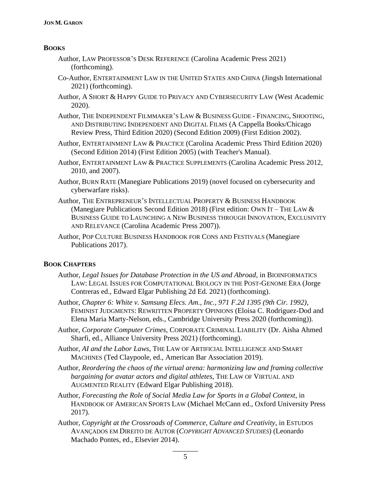# **BOOKS**

- Author, LAW PROFESSOR'S DESK REFERENCE (Carolina Academic Press 2021) (forthcoming).
- Co-Author, ENTERTAINMENT LAW IN THE UNITED STATES AND CHINA (Jingsh International 2021) (forthcoming).
- Author, A SHORT & HAPPY GUIDE TO PRIVACY AND CYBERSECURITY LAW (West Academic 2020).
- Author, THE INDEPENDENT FILMMAKER'S LAW & BUSINESS GUIDE FINANCING, SHOOTING, AND DISTRIBUTING INDEPENDENT AND DIGITAL FILMS (A Cappella Books/Chicago Review Press, Third Edition 2020) (Second Edition 2009) (First Edition 2002).
- Author, ENTERTAINMENT LAW & PRACTICE (Carolina Academic Press Third Edition 2020) (Second Edition 2014) (First Edition 2005) (with Teacher's Manual).
- Author, ENTERTAINMENT LAW & PRACTICE SUPPLEMENTS (Carolina Academic Press 2012, 2010, and 2007).
- Author, BURN RATE (Manegiare Publications 2019) (novel focused on cybersecurity and cyberwarfare risks).
- Author, THE ENTREPRENEUR'S INTELLECTUAL PROPERTY & BUSINESS HANDBOOK (Manegiare Publications Second Edition 2018) (First edition: OWN IT – THE LAW & BUSINESS GUIDE TO LAUNCHING A NEW BUSINESS THROUGH INNOVATION, EXCLUSIVITY AND RELEVANCE (Carolina Academic Press 2007)).
- Author, POP CULTURE BUSINESS HANDBOOK FOR CONS AND FESTIVALS (Manegiare Publications 2017).

# **BOOK CHAPTERS**

- Author, *Legal Issues for Database Protection in the US and Abroad*, in BIOINFORMATICS LAW: LEGAL ISSUES FOR COMPUTATIONAL BIOLOGY IN THE POST-GENOME ERA (Jorge Contreras ed., Edward Elgar Publishing 2d Ed. 2021) (forthcoming).
- Author, *Chapter 6: White v. Samsung Elecs. Am., Inc., 971 F.2d 1395 (9th Cir. 1992)*, FEMINIST JUDGMENTS: REWRITTEN PROPERTY OPINIONS (Eloisa C. Rodriguez-Dod and Elena Maria Marty-Nelson, eds., Cambridge University Press 2020 (forthcoming)).
- Author, *Corporate Computer Crimes*, CORPORATE CRIMINAL LIABILITY (Dr. Aisha Ahmed Sharfi, ed., Alliance University Press 2021) (forthcoming).
- Author, *AI and the Labor Laws*, THE LAW OF ARTIFICIAL INTELLIGENCE AND SMART MACHINES (Ted Claypoole, ed., American Bar Association 2019).
- Author, *Reordering the chaos of the virtual arena: harmonizing law and framing collective bargaining for avatar actors and digital athletes*, THE LAW OF VIRTUAL AND AUGMENTED REALITY (Edward Elgar Publishing 2018).
- Author, *Forecasting the Role of Social Media Law for Sports in a Global Context,* in HANDBOOK OF AMERICAN SPORTS LAW (Michael McCann ed., Oxford University Press 2017).
- Author, *Copyright at the Crossroads of Commerce, Culture and Creativity*, in ESTUDOS AVANÇADOS EM DIREITO DE AUTOR (*COPYRIGHT ADVANCED STUDIES*) (Leonardo Machado Pontes, ed., Elsevier 2014).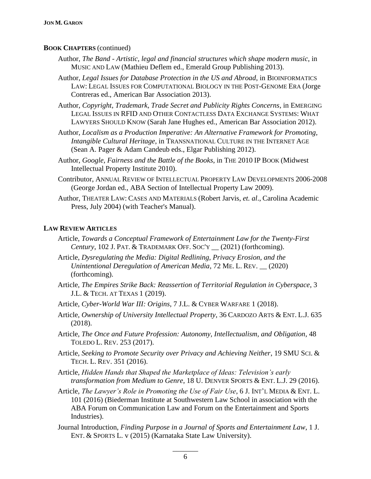# **BOOK CHAPTERS** (continued)

- Author, *The Band - Artistic, legal and financial structures which shape modern music*, in MUSIC AND LAW (Mathieu Deflem ed., Emerald Group Publishing 2013).
- Author, *Legal Issues for Database Protection in the US and Abroad*, in BIOINFORMATICS LAW: LEGAL ISSUES FOR COMPUTATIONAL BIOLOGY IN THE POST-GENOME ERA (Jorge Contreras ed., American Bar Association 2013).

Author, *Copyright, Trademark, Trade Secret and Publicity Rights Concerns*, in EMERGING LEGAL ISSUES IN RFID AND OTHER CONTACTLESS DATA EXCHANGE SYSTEMS: WHAT LAWYERS SHOULD KNOW (Sarah Jane Hughes ed., American Bar Association 2012).

- Author, *Localism as a Production Imperative: An Alternative Framework for Promoting, Intangible Cultural Heritage*, in TRANSNATIONAL CULTURE IN THE INTERNET AGE (Sean A. Pager & Adam Candeub eds., Elgar Publishing 2012).
- Author, *Google, Fairness and the Battle of the Books*, in THE 2010 IP BOOK (Midwest Intellectual Property Institute 2010).
- Contributor, ANNUAL REVIEW OF INTELLECTUAL PROPERTY LAW DEVELOPMENTS 2006-2008 (George Jordan ed., ABA Section of Intellectual Property Law 2009).
- Author, THEATER LAW: CASES AND MATERIALS (Robert Jarvis, *et. al*., Carolina Academic Press, July 2004) (with Teacher's Manual).

#### **LAW REVIEW ARTICLES**

- Article, *Towards a Conceptual Framework of Entertainment Law for the Twenty-First Century*, 102 J. PAT. & TRADEMARK OFF. SOC'Y \_\_ (2021) (forthcoming).
- Article, *Dysregulating the Media: Digital Redlining, Privacy Erosion, and the Unintentional Deregulation of American Media*, 72 ME. L. REV. \_\_ (2020) (forthcoming).
- Article, *The Empires Strike Back: Reassertion of Territorial Regulation in Cyberspace*, 3 J.L. & TECH. AT TEXAS 1 (2019).
- Article, *Cyber-World War III: Origins*, 7 J.L. & CYBER WARFARE 1 (2018).
- Article, *Ownership of University Intellectual Property*, 36 CARDOZO ARTS & ENT. L.J. 635 (2018).
- Article, *The Once and Future Profession: Autonomy, Intellectualism, and Obligation*, 48 TOLEDO L. REV. 253 (2017).
- Article, *Seeking to Promote Security over Privacy and Achieving Neither*, 19 SMU SCI. & TECH. L. REV. 351 (2016).
- Article, *Hidden Hands that Shaped the Marketplace of Ideas: Television's early transformation from Medium to Genre*, 18 U. DENVER SPORTS & ENT. L.J. 29 (2016).
- Article, *The Lawyer's Role in Promoting the Use of Fair Use*, 6 J. INT'L MEDIA & ENT. L. 101 (2016) (Biederman Institute at Southwestern Law School in association with the ABA Forum on Communication Law and Forum on the Entertainment and Sports Industries).
- Journal Introduction, *Finding Purpose in a Journal of Sports and Entertainment Law*, 1 J. ENT. & SPORTS L. v (2015) (Karnataka State Law University).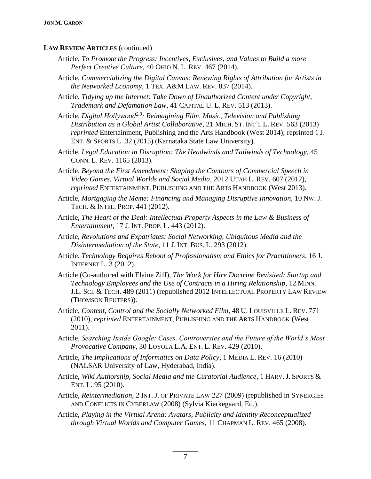#### **LAW REVIEW ARTICLES** (continued)

- Article, *To Promote the Progress: Incentives, Exclusives, and Values to Build a more Perfect Creative Culture*, 40 OHIO N. L. REV. 467 (2014).
- Article, *Commercializing the Digital Canvas: Renewing Rights of Attribution for Artists in the Networked Economy*, 1 TEX. A&M LAW. REV. 837 (2014).
- Article, *Tidying up the Internet: Take Down of Unauthorized Content under Copyright, Trademark and Defamation Law*, 41 CAPITAL U. L. REV. 513 (2013).
- Article, *Digital Hollywood2.0: Reimagining Film, Music, Television and Publishing Distribution as a Global Artist Collaborative*, 21 MICH. ST. INT'L L. REV. 563 (2013) *reprinted* Entertainment, Publishing and the Arts Handbook (West 2014); reprinted 1 J. ENT. & SPORTS L. 32 (2015) (Karnataka State Law University).
- Article, *Legal Education in Disruption: The Headwinds and Tailwinds of Technology*, 45 CONN. L. REV. 1165 (2013).
- Article, *Beyond the First Amendment: Shaping the Contours of Commercial Speech in Video Games, Virtual Worlds and Social Media*, 2012 UTAH L. REV. 607 (2012), *reprinted* ENTERTAINMENT, PUBLISHING AND THE ARTS HANDBOOK (West 2013).
- Article, *Mortgaging the Meme: Financing and Managing Disruptive Innovation*, 10 NW. J. TECH. & INTEL. PROP. 441 (2012).
- Article, *The Heart of the Deal: Intellectual Property Aspects in the Law & Business of Entertainment*, 17 J. INT. PROP. L. 443 (2012).
- Article, *Revolutions and Expatriates: Social Networking, Ubiquitous Media and the Disintermediation of the State*, 11 J. INT. BUS. L. 293 (2012).
- Article, *Technology Requires Reboot of Professionalism and Ethics for Practitioners*, 16 J. INTERNET L. 3 (2012).
- Article (Co-authored with Elaine Ziff), *The Work for Hire Doctrine Revisited: Startup and Technology Employees and the Use of Contracts in a Hiring Relationship*, 12 MINN. J.L. SCI. & TECH. 489 (2011) (republished 2012 INTELLECTUAL PROPERTY LAW REVIEW (THOMSON REUTERS)).
- Article, *Content, Control and the Socially Networked Film*, 48 U. LOUISVILLE L. REV. 771 (2010), *reprinted* ENTERTAINMENT, PUBLISHING AND THE ARTS HANDBOOK (West 2011).
- Article, *Searching Inside Google: Cases, Controversies and the Future of the World's Most Provocative Company*, 30 LOYOLA L.A. ENT. L. REV. 429 (2010).
- Article, *The Implications of Informatics on Data Policy*, 1 MEDIA L. REV. 16 (2010) (NALSAR University of Law, Hyderabad, India).
- Article, *Wiki Authorship, Social Media and the Curatorial Audience*, 1 HARV. J. SPORTS & ENT. L. 95 (2010).
- Article, *Reintermediation*, 2 INT. J. OF PRIVATE LAW 227 (2009) (republished in SYNERGIES AND CONFLICTS IN CYBERLAW (2008) (Sylvia Kierkegaard, Ed.).
- Article, *Playing in the Virtual Arena: Avatars, Publicity and Identity Reconceptualized through Virtual Worlds and Computer Games*, 11 CHAPMAN L. REV. 465 (2008).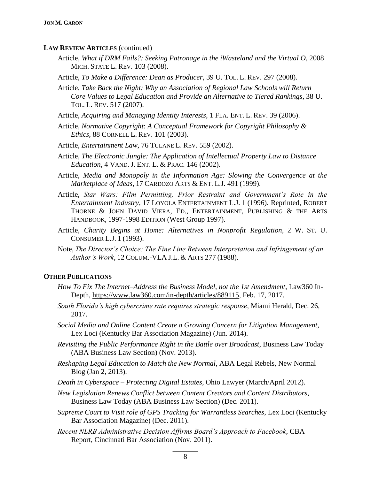#### **LAW REVIEW ARTICLES** (continued)

- Article, *What if DRM Fails?: Seeking Patronage in the iWasteland and the Virtual O*, 2008 MICH. STATE L. REV. 103 (2008).
- Article, *To Make a Difference: Dean as Producer*, 39 U. TOL. L. REV. 297 (2008).
- Article, *Take Back the Night: Why an Association of Regional Law Schools will Return Core Values to Legal Education and Provide an Alternative to Tiered Rankings*, 38 U. TOL. L. REV. 517 (2007).
- Article, *Acquiring and Managing Identity Interests*, 1 FLA. ENT. L. REV. 39 (2006).
- Article, *Normative Copyright*: *A Conceptual Framework for Copyright Philosophy & Ethics,* 88 CORNELL L. REV. 101 (2003).
- Article, *Entertainment Law,* 76 TULANE L. REV. 559 (2002).
- Article, *The Electronic Jungle: The Application of Intellectual Property Law to Distance Education*, 4 VAND. J. ENT. L. & PRAC. 146 (2002).
- Article, *Media and Monopoly in the Information Age: Slowing the Convergence at the Marketplace of Ideas*, 17 CARDOZO ARTS & ENT. L.J. 491 (1999).
- Article, *Star Wars: Film Permitting, Prior Restraint and Government's Role in the Entertainment Industry*, 17 LOYOLA ENTERTAINMENT L.J. 1 (1996). Reprinted, ROBERT THORNE & JOHN DAVID VIERA, ED., ENTERTAINMENT, PUBLISHING & THE ARTS HANDBOOK, 1997-1998 EDITION (West Group 1997).
- Article, *Charity Begins at Home: Alternatives in Nonprofit Regulation*, 2 W. ST. U. CONSUMER L.J. 1 (1993).
- Note, *The Director's Choice: The Fine Line Between Interpretation and Infringement of an Author's Work*, 12 COLUM.-VLA J.L. & ARTS 277 (1988).

## **OTHER PUBLICATIONS**

- *How To Fix The Internet–Address the Business Model, not the 1st Amendment*, Law360 In-Depth, [https://www.law360.com/in-depth/articles/889115,](https://www.law360.com/in-depth/articles/889115) Feb. 17, 2017.
- *South Florida's high cybercrime rate requires strategic response*, Miami Herald, Dec. 26, 2017.
- *Social Media and Online Content Create a Growing Concern for Litigation Management*, Lex Loci (Kentucky Bar Association Magazine) (Jun. 2014).
- *Revisiting the Public Performance Right in the Battle over Broadcast*, Business Law Today (ABA Business Law Section) (Nov. 2013).
- *Reshaping Legal Education to Match the New Normal*, ABA Legal Rebels, New Normal Blog (Jan 2, 2013).
- *Death in Cyberspace – Protecting Digital Estates,* Ohio Lawyer (March/April 2012).
- *New Legislation Renews Conflict between Content Creators and Content Distributors*, Business Law Today (ABA Business Law Section) (Dec. 2011).
- *Supreme Court to Visit role of GPS Tracking for Warrantless Searches*, Lex Loci (Kentucky Bar Association Magazine) (Dec. 2011).
- *Recent NLRB Administrative Decision Affirms Board's Approach to Facebook*, CBA Report, Cincinnati Bar Association (Nov. 2011).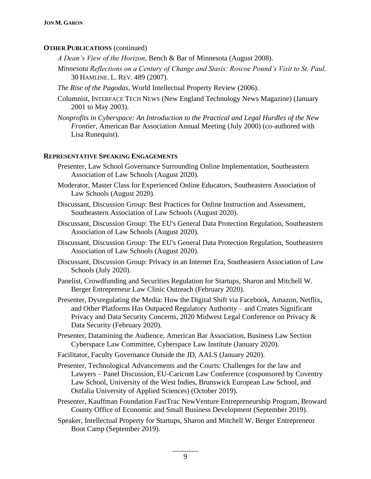#### **OTHER PUBLICATIONS** (continued)

- *A Dean's View of the Horizon*, Bench & Bar of Minnesota (August 2008).
- *Minnesota Reflections on a Century of Change and Stasis: Roscoe Pound's Visit to St. Paul,* 30 HAMLINE. L. REV. 489 (2007).
- *The Rise of the Pagodas*, World Intellectual Property Review (2006).
- Columnist, INTERFACE TECH NEWS (New England Technology News Magazine) (January 2001 to May 2003).
- *Nonprofits in Cyberspace: An Introduction to the Practical and Legal Hurdles of the New Frontier*, American Bar Association Annual Meeting (July 2000) (co-authored with Lisa Runequist).

#### **REPRESENTATIVE SPEAKING ENGAGEMENTS**

- Presenter, Law School Governance Surrounding Online Implementation, Southeastern Association of Law Schools (August 2020).
- Moderator, Master Class for Experienced Online Educators, Southeastern Association of Law Schools (August 2020).
- Discussant, Discussion Group: Best Practices for Online Instruction and Assessment, Southeastern Association of Law Schools (August 2020).
- Discussant, Discussion Group: The EU's General Data Protection Regulation, Southeastern Association of Law Schools (August 2020).
- Discussant, Discussion Group: The EU's General Data Protection Regulation, Southeastern Association of Law Schools (August 2020).
- Discussant, Discussion Group: Privacy in an Internet Era, Southeastern Association of Law Schools (July 2020).
- Panelist, Crowdfunding and Securities Regulation for Startups, Sharon and Mitchell W. Berger Entrepreneur Law Clinic Outreach (February 2020).
- Presenter, Dysregulating the Media: How the Digital Shift via Facebook, Amazon, Netflix, and Other Platforms Has Outpaced Regulatory Authority – and Creates Significant Privacy and Data Security Concerns, 2020 Midwest Legal Conference on Privacy & Data Security (February 2020).
- Presenter, Datamining the Audience, American Bar Association, Business Law Section Cyberspace Law Committee, Cyberspace Law Institute (January 2020).
- Facilitator, Faculty Governance Outside the JD, AALS (January 2020).
- Presenter, Technological Advancements and the Courts: Challenges for the law and Lawyers – Panel Discussion, EU-Caricom Law Conference (cosponsored by Coventry Law School, University of the West Indies, Brunswick European Law School, and Ostfalia University of Applied Sciences) (October 2019).
- Presenter, Kauffman Foundation FastTrac NewVenture Entrepreneurship Program, Broward County Office of Economic and Small Business Development (September 2019).
- Speaker, Intellectual Property for Startups, Sharon and Mitchell W. Berger Entrepreneur Boot Camp (September 2019).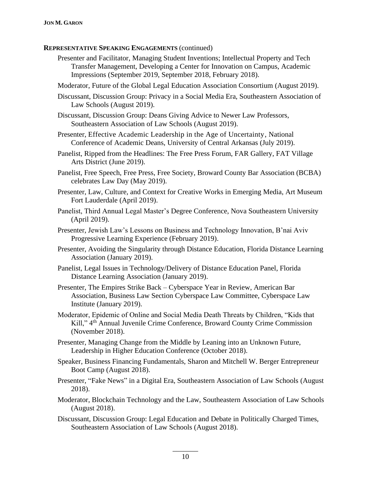- Presenter and Facilitator, Managing Student Inventions; Intellectual Property and Tech Transfer Management, Developing a Center for Innovation on Campus, Academic Impressions (September 2019, September 2018, February 2018).
- Moderator, Future of the Global Legal Education Association Consortium (August 2019).
- Discussant, Discussion Group: Privacy in a Social Media Era, Southeastern Association of Law Schools (August 2019).
- Discussant, Discussion Group: Deans Giving Advice to Newer Law Professors, Southeastern Association of Law Schools (August 2019).
- Presenter, Effective Academic Leadership in the Age of Uncertainty, National Conference of Academic Deans, University of Central Arkansas (July 2019).
- Panelist, Ripped from the Headlines: The Free Press Forum, FAR Gallery, FAT Village Arts District (June 2019).
- Panelist, Free Speech, Free Press, Free Society, Broward County Bar Association (BCBA) celebrates Law Day (May 2019).
- Presenter, Law, Culture, and Context for Creative Works in Emerging Media, Art Museum Fort Lauderdale (April 2019).
- Panelist, Third Annual Legal Master's Degree Conference, Nova Southeastern University (April 2019).
- Presenter, Jewish Law's Lessons on Business and Technology Innovation, B'nai Aviv Progressive Learning Experience (February 2019).
- Presenter, Avoiding the Singularity through Distance Education, Florida Distance Learning Association (January 2019).
- Panelist, Legal Issues in Technology/Delivery of Distance Education Panel, Florida Distance Learning Association (January 2019).
- Presenter, The Empires Strike Back Cyberspace Year in Review, American Bar Association, Business Law Section Cyberspace Law Committee, Cyberspace Law Institute (January 2019).
- Moderator, Epidemic of Online and Social Media Death Threats by Children, "Kids that Kill," 4th Annual Juvenile Crime Conference, Broward County Crime Commission (November 2018).
- Presenter, Managing Change from the Middle by Leaning into an Unknown Future, Leadership in Higher Education Conference (October 2018).
- Speaker, Business Financing Fundamentals, Sharon and Mitchell W. Berger Entrepreneur Boot Camp (August 2018).
- Presenter, "Fake News" in a Digital Era, Southeastern Association of Law Schools (August 2018).
- Moderator, Blockchain Technology and the Law, Southeastern Association of Law Schools (August 2018).
- Discussant, Discussion Group: Legal Education and Debate in Politically Charged Times, Southeastern Association of Law Schools (August 2018).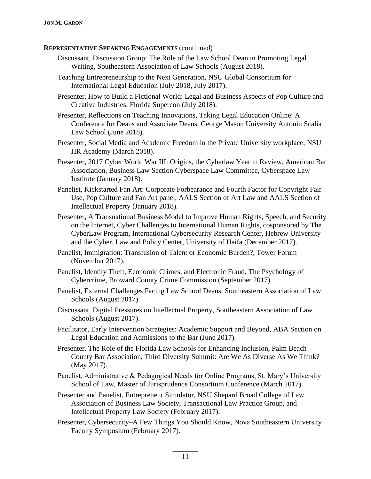- Discussant, Discussion Group: The Role of the Law School Dean in Promoting Legal Writing, Southeastern Association of Law Schools (August 2018).
- Teaching Entrepreneurship to the Next Generation, NSU Global Consortium for International Legal Education (July 2018, July 2017).
- Presenter, How to Build a Fictional World: Legal and Business Aspects of Pop Culture and Creative Industries, Florida Supercon (July 2018).
- Presenter, Reflections on Teaching Innovations, Taking Legal Education Online: A Conference for Deans and Associate Deans, George Mason University Antonin Scalia Law School (June 2018).
- Presenter, Social Media and Academic Freedom in the Private University workplace, NSU HR Academy (March 2018).
- Presenter, 2017 Cyber World War III: Origins, the Cyberlaw Year in Review, American Bar Association, Business Law Section Cyberspace Law Committee, Cyberspace Law Institute (January 2018).
- Panelist, Kickstarted Fan Art: Corporate Forbearance and Fourth Factor for Copyright Fair Use, Pop Culture and Fan Art panel, AALS Section of Art Law and AALS Section of Intellectual Property (January 2018).
- Presenter, A Transnational Business Model to Improve Human Rights, Speech, and Security on the Internet, Cyber Challenges to International Human Rights, cosponsored by The CyberLaw Program, International Cybersecurity Research Center, Hebrew University and the Cyber, Law and Policy Center, University of Haifa (December 2017).
- Panelist, Immigration: Transfusion of Talent or Economic Burden?, Tower Forum (November 2017).
- Panelist, Identity Theft, Economic Crimes, and Electronic Fraud, The Psychology of Cybercrime, Broward County Crime Commission (September 2017).
- Panelist, External Challenges Facing Law School Deans, Southeastern Association of Law Schools (August 2017).
- Discussant, Digital Pressures on Intellectual Property, Southeastern Association of Law Schools (August 2017).
- Facilitator, Early Intervention Strategies: Academic Support and Beyond, ABA Section on Legal Education and Admissions to the Bar (June 2017).
- Presenter, The Role of the Florida Law Schools for Enhancing Inclusion, Palm Beach County Bar Association, Third Diversity Summit: Are We As Diverse As We Think? (May 2017).
- Panelist, Administrative & Pedagogical Needs for Online Programs, St. Mary's University School of Law, Master of Jurisprudence Consortium Conference (March 2017).
- Presenter and Panelist, Entrepreneur Simulator, NSU Shepard Broad College of Law Association of Business Law Society, Transactional Law Practice Group, and Intellectual Property Law Society (February 2017).
- Presenter, Cybersecurity–A Few Things You Should Know, Nova Southeastern University Faculty Symposium (February 2017).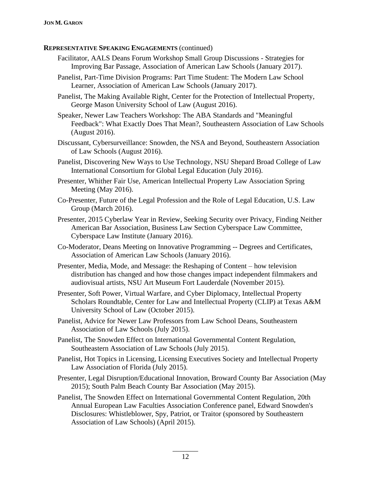- Facilitator, AALS Deans Forum Workshop Small Group Discussions Strategies for Improving Bar Passage, Association of American Law Schools (January 2017).
- Panelist, Part-Time Division Programs: Part Time Student: The Modern Law School Learner, Association of American Law Schools (January 2017).
- Panelist, The Making Available Right, Center for the Protection of Intellectual Property, George Mason University School of Law (August 2016).
- Speaker, Newer Law Teachers Workshop: The ABA Standards and "Meaningful Feedback": What Exactly Does That Mean?, Southeastern Association of Law Schools (August 2016).
- Discussant, Cybersurveillance: Snowden, the NSA and Beyond, Southeastern Association of Law Schools (August 2016).
- Panelist, Discovering New Ways to Use Technology, NSU Shepard Broad College of Law International Consortium for Global Legal Education (July 2016).
- Presenter, Whither Fair Use, American Intellectual Property Law Association Spring Meeting (May 2016).
- Co-Presenter, Future of the Legal Profession and the Role of Legal Education, U.S. Law Group (March 2016).
- Presenter, 2015 Cyberlaw Year in Review, Seeking Security over Privacy, Finding Neither American Bar Association, Business Law Section Cyberspace Law Committee, Cyberspace Law Institute (January 2016).
- Co-Moderator, Deans Meeting on Innovative Programming -- Degrees and Certificates, Association of American Law Schools (January 2016).
- Presenter, Media, Mode, and Message: the Reshaping of Content how television distribution has changed and how those changes impact independent filmmakers and audiovisual artists, NSU Art Museum Fort Lauderdale (November 2015).
- Presenter, Soft Power, Virtual Warfare, and Cyber Diplomacy, Intellectual Property Scholars Roundtable, Center for Law and Intellectual Property (CLIP) at Texas A&M University School of Law (October 2015).
- Panelist, Advice for Newer Law Professors from Law School Deans, Southeastern Association of Law Schools (July 2015).
- Panelist, The Snowden Effect on International Governmental Content Regulation, Southeastern Association of Law Schools (July 2015).
- Panelist, Hot Topics in Licensing, Licensing Executives Society and Intellectual Property Law Association of Florida (July 2015).
- Presenter, Legal Disruption/Educational Innovation, Broward County Bar Association (May 2015); South Palm Beach County Bar Association (May 2015).
- Panelist, The Snowden Effect on International Governmental Content Regulation, 20th Annual European Law Faculties Association Conference panel, Edward Snowden's Disclosures: Whistleblower, Spy, Patriot, or Traitor (sponsored by Southeastern Association of Law Schools) (April 2015).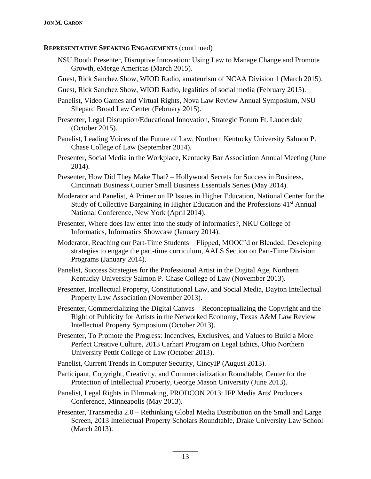- NSU Booth Presenter, Disruptive Innovation: Using Law to Manage Change and Promote Growth, eMerge Americas (March 2015).
- Guest, Rick Sanchez Show, WIOD Radio, amateurism of NCAA Division 1 (March 2015).
- Guest, Rick Sanchez Show, WIOD Radio, legalities of social media (February 2015).
- Panelist, Video Games and Virtual Rights, Nova Law Review Annual Symposium, NSU Shepard Broad Law Center (February 2015).
- Presenter, Legal Disruption/Educational Innovation, Strategic Forum Ft. Lauderdale (October 2015).
- Panelist, Leading Voices of the Future of Law, Northern Kentucky University Salmon P. Chase College of Law (September 2014).
- Presenter, Social Media in the Workplace, Kentucky Bar Association Annual Meeting (June 2014).
- Presenter, How Did They Make That? Hollywood Secrets for Success in Business, Cincinnati Business Courier Small Business Essentials Series (May 2014).
- Moderator and Panelist, A Primer on IP Issues in Higher Education, National Center for the Study of Collective Bargaining in Higher Education and the Professions 41<sup>st</sup> Annual National Conference, New York (April 2014).
- Presenter, Where does law enter into the study of informatics?, NKU College of Informatics, Informatics Showcase (January 2014).
- Moderator, Reaching our Part-Time Students Flipped, MOOC'd or Blended: Developing strategies to engage the part-time curriculum, AALS Section on Part-Time Division Programs (January 2014).
- Panelist, Success Strategies for the Professional Artist in the Digital Age, Northern Kentucky University Salmon P. Chase College of Law (November 2013).
- Presenter, Intellectual Property, Constitutional Law, and Social Media, Dayton Intellectual Property Law Association (November 2013).
- Presenter, Commercializing the Digital Canvas Reconceptualizing the Copyright and the Right of Publicity for Artists in the Networked Economy, Texas A&M Law Review Intellectual Property Symposium (October 2013).
- Presenter, To Promote the Progress: Incentives, Exclusives, and Values to Build a More Perfect Creative Culture, 2013 Carhart Program on Legal Ethics, Ohio Northern University Pettit College of Law (October 2013).
- Panelist, Current Trends in Computer Security, CincyIP (August 2013).
- Participant, Copyright, Creativity, and Commercialization Roundtable, Center for the Protection of Intellectual Property, George Mason University (June 2013).
- Panelist, Legal Rights in Filmmaking, PRODCON 2013: IFP Media Arts' Producers Conference, Minneapolis (May 2013).
- Presenter, Transmedia 2.0 Rethinking Global Media Distribution on the Small and Large Screen, 2013 Intellectual Property Scholars Roundtable, Drake University Law School (March 2013).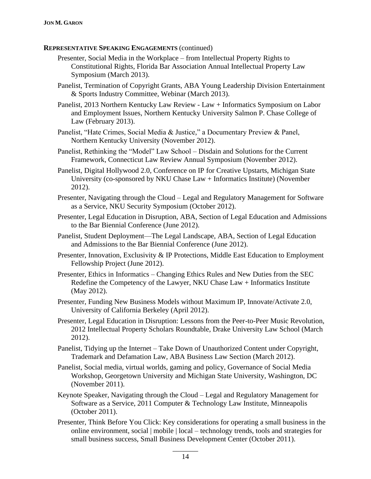- Presenter, Social Media in the Workplace from Intellectual Property Rights to Constitutional Rights, Florida Bar Association Annual Intellectual Property Law Symposium (March 2013).
- Panelist, Termination of Copyright Grants, ABA Young Leadership Division Entertainment & Sports Industry Committee, Webinar (March 2013).
- Panelist, 2013 Northern Kentucky Law Review Law + Informatics Symposium on Labor and Employment Issues, Northern Kentucky University Salmon P. Chase College of Law (February 2013).
- Panelist, "Hate Crimes, Social Media & Justice," a Documentary Preview & Panel, Northern Kentucky University (November 2012).
- Panelist, Rethinking the "Model" Law School Disdain and Solutions for the Current Framework, Connecticut Law Review Annual Symposium (November 2012).
- Panelist, Digital Hollywood 2.0, Conference on IP for Creative Upstarts, Michigan State University (co-sponsored by NKU Chase Law + Informatics Institute) (November 2012).
- Presenter, Navigating through the Cloud Legal and Regulatory Management for Software as a Service, NKU Security Symposium (October 2012).
- Presenter, Legal Education in Disruption, ABA, Section of Legal Education and Admissions to the Bar Biennial Conference (June 2012).
- Panelist, Student Deployment—The Legal Landscape, ABA, Section of Legal Education and Admissions to the Bar Biennial Conference (June 2012).
- Presenter, Innovation, Exclusivity & IP Protections, Middle East Education to Employment Fellowship Project (June 2012).
- Presenter, Ethics in Informatics Changing Ethics Rules and New Duties from the SEC Redefine the Competency of the Lawyer, NKU Chase Law + Informatics Institute (May 2012).
- Presenter, Funding New Business Models without Maximum IP, Innovate/Activate 2.0, University of California Berkeley (April 2012).
- Presenter, Legal Education in Disruption: Lessons from the Peer-to-Peer Music Revolution, 2012 Intellectual Property Scholars Roundtable, Drake University Law School (March 2012).
- Panelist, Tidying up the Internet Take Down of Unauthorized Content under Copyright, Trademark and Defamation Law, ABA Business Law Section (March 2012).
- Panelist, Social media, virtual worlds, gaming and policy, Governance of Social Media Workshop, Georgetown University and Michigan State University, Washington, DC (November 2011).
- Keynote Speaker, Navigating through the Cloud Legal and Regulatory Management for Software as a Service, 2011 Computer & Technology Law Institute, Minneapolis (October 2011).
- Presenter, Think Before You Click: Key considerations for operating a small business in the online environment, social | mobile | local – technology trends, tools and strategies for small business success, Small Business Development Center (October 2011).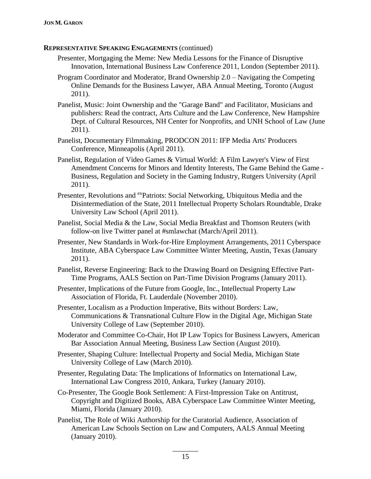- Presenter, Mortgaging the Meme: New Media Lessons for the Finance of Disruptive Innovation, International Business Law Conference 2011, London (September 2011).
- Program Coordinator and Moderator, Brand Ownership 2.0 Navigating the Competing Online Demands for the Business Lawyer, ABA Annual Meeting, Toronto (August 2011).
- Panelist, Music: Joint Ownership and the "Garage Band" and Facilitator, Musicians and publishers: Read the contract, Arts Culture and the Law Conference, New Hampshire Dept. of Cultural Resources, NH Center for Nonprofits, and UNH School of Law (June 2011).
- Panelist, Documentary Filmmaking, PRODCON 2011: IFP Media Arts' Producers Conference, Minneapolis (April 2011).
- Panelist, Regulation of Video Games & Virtual World: A Film Lawyer's View of First Amendment Concerns for Minors and Identity Interests, The Game Behind the Game -Business, Regulation and Society in the Gaming Industry, Rutgers University (April 2011).
- Presenter, Revolutions and <sup>ex</sup>Patriots: Social Networking, Ubiquitous Media and the Disintermediation of the State, 2011 Intellectual Property Scholars Roundtable, Drake University Law School (April 2011).
- Panelist, Social Media & the Law, Social Media Breakfast and Thomson Reuters (with follow-on live Twitter panel at #smlawchat (March/April 2011).
- Presenter, New Standards in Work-for-Hire Employment Arrangements, 2011 Cyberspace Institute, ABA Cyberspace Law Committee Winter Meeting, Austin, Texas (January 2011).
- Panelist, Reverse Engineering: Back to the Drawing Board on Designing Effective Part-Time Programs, AALS Section on Part-Time Division Programs (January 2011).
- Presenter, Implications of the Future from Google, Inc., Intellectual Property Law Association of Florida, Ft. Lauderdale (November 2010).
- Presenter, Localism as a Production Imperative, Bits without Borders: Law, Communications & Transnational Culture Flow in the Digital Age, Michigan State University College of Law (September 2010).
- Moderator and Committee Co-Chair, Hot IP Law Topics for Business Lawyers, American Bar Association Annual Meeting, Business Law Section (August 2010).
- Presenter, Shaping Culture: Intellectual Property and Social Media, Michigan State University College of Law (March 2010).
- Presenter, Regulating Data: The Implications of Informatics on International Law, International Law Congress 2010, Ankara, Turkey (January 2010).
- Co-Presenter, The Google Book Settlement: A First-Impression Take on Antitrust, Copyright and Digitized Books, ABA Cyberspace Law Committee Winter Meeting, Miami, Florida (January 2010).
- Panelist, The Role of Wiki Authorship for the Curatorial Audience, Association of American Law Schools Section on Law and Computers, AALS Annual Meeting (January 2010).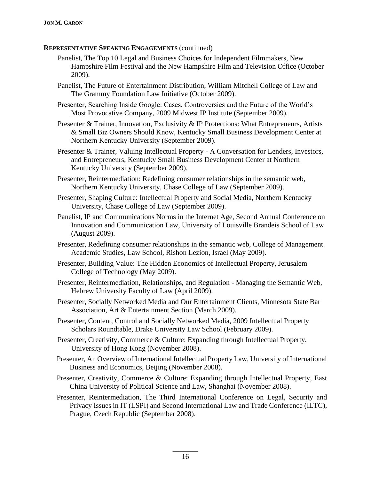- Panelist, The Top 10 Legal and Business Choices for Independent Filmmakers, New Hampshire Film Festival and the New Hampshire Film and Television Office (October 2009).
- Panelist, The Future of Entertainment Distribution, William Mitchell College of Law and The Grammy Foundation Law Initiative (October 2009).
- Presenter, Searching Inside Google: Cases, Controversies and the Future of the World's Most Provocative Company, 2009 Midwest IP Institute (September 2009).
- Presenter & Trainer, Innovation, Exclusivity & IP Protections: What Entrepreneurs, Artists & Small Biz Owners Should Know, Kentucky Small Business Development Center at Northern Kentucky University (September 2009).
- Presenter & Trainer, Valuing Intellectual Property A Conversation for Lenders, Investors, and Entrepreneurs, Kentucky Small Business Development Center at Northern Kentucky University (September 2009).
- Presenter, Reintermediation: Redefining consumer relationships in the semantic web, Northern Kentucky University, Chase College of Law (September 2009).
- Presenter, Shaping Culture: Intellectual Property and Social Media, Northern Kentucky University, Chase College of Law (September 2009).
- Panelist, IP and Communications Norms in the Internet Age, Second Annual Conference on Innovation and Communication Law, University of Louisville Brandeis School of Law (August 2009).
- Presenter, Redefining consumer relationships in the semantic web, College of Management Academic Studies, Law School, Rishon Lezion, Israel (May 2009).
- Presenter, Building Value: The Hidden Economics of Intellectual Property, Jerusalem College of Technology (May 2009).
- Presenter, Reintermediation, Relationships, and Regulation Managing the Semantic Web, Hebrew University Faculty of Law (April 2009).
- Presenter, Socially Networked Media and Our Entertainment Clients, Minnesota State Bar Association, Art & Entertainment Section (March 2009).
- Presenter, Content, Control and Socially Networked Media, 2009 Intellectual Property Scholars Roundtable, Drake University Law School (February 2009).
- Presenter, Creativity, Commerce & Culture: Expanding through Intellectual Property, University of Hong Kong (November 2008).
- Presenter, An Overview of International Intellectual Property Law, University of International Business and Economics, Beijing (November 2008).
- Presenter, Creativity, Commerce & Culture: Expanding through Intellectual Property, East China University of Political Science and Law, Shanghai (November 2008).
- Presenter, Reintermediation, The Third International Conference on Legal, Security and Privacy Issues in IT (LSPI) and Second International Law and Trade Conference (ILTC), Prague, Czech Republic (September 2008).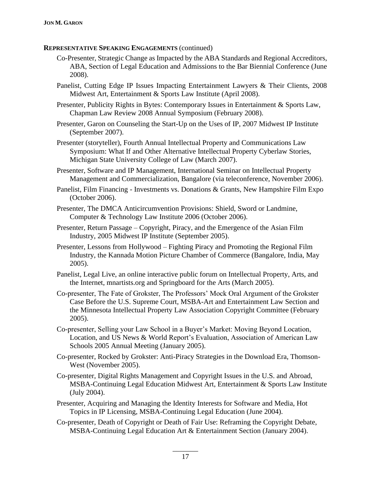- Co-Presenter, Strategic Change as Impacted by the ABA Standards and Regional Accreditors, ABA, Section of Legal Education and Admissions to the Bar Biennial Conference (June 2008).
- Panelist, Cutting Edge IP Issues Impacting Entertainment Lawyers & Their Clients, 2008 Midwest Art, Entertainment & Sports Law Institute (April 2008).
- Presenter, Publicity Rights in Bytes: Contemporary Issues in Entertainment & Sports Law, Chapman Law Review 2008 Annual Symposium (February 2008).
- Presenter, Garon on Counseling the Start-Up on the Uses of IP, 2007 Midwest IP Institute (September 2007).
- Presenter (storyteller), Fourth Annual Intellectual Property and Communications Law Symposium: What If and Other Alternative Intellectual Property Cyberlaw Stories, Michigan State University College of Law (March 2007).
- Presenter, Software and IP Management, International Seminar on Intellectual Property Management and Commercialization, Bangalore (via teleconference, November 2006).
- Panelist, Film Financing Investments vs. Donations & Grants, New Hampshire Film Expo (October 2006).
- Presenter, The DMCA Anticircumvention Provisions: Shield, Sword or Landmine, Computer & Technology Law Institute 2006 (October 2006).
- Presenter, Return Passage Copyright, Piracy, and the Emergence of the Asian Film Industry, 2005 Midwest IP Institute (September 2005).
- Presenter, Lessons from Hollywood Fighting Piracy and Promoting the Regional Film Industry, the Kannada Motion Picture Chamber of Commerce (Bangalore, India, May 2005).
- Panelist, Legal Live, an online interactive public forum on Intellectual Property, Arts, and the Internet, mnartists.org and Springboard for the Arts (March 2005).
- Co-presenter, The Fate of Grokster, The Professors' Mock Oral Argument of the Grokster Case Before the U.S. Supreme Court, MSBA-Art and Entertainment Law Section and the Minnesota Intellectual Property Law Association Copyright Committee (February 2005).
- Co-presenter, Selling your Law School in a Buyer's Market: Moving Beyond Location, Location, and US News & World Report's Evaluation, Association of American Law Schools 2005 Annual Meeting (January 2005).
- Co-presenter, Rocked by Grokster: Anti-Piracy Strategies in the Download Era, Thomson-West (November 2005).
- Co-presenter, Digital Rights Management and Copyright Issues in the U.S. and Abroad, MSBA-Continuing Legal Education Midwest Art, Entertainment & Sports Law Institute (July 2004).
- Presenter, Acquiring and Managing the Identity Interests for Software and Media, Hot Topics in IP Licensing, MSBA-Continuing Legal Education (June 2004).
- Co-presenter, Death of Copyright or Death of Fair Use: Reframing the Copyright Debate, MSBA-Continuing Legal Education Art & Entertainment Section (January 2004).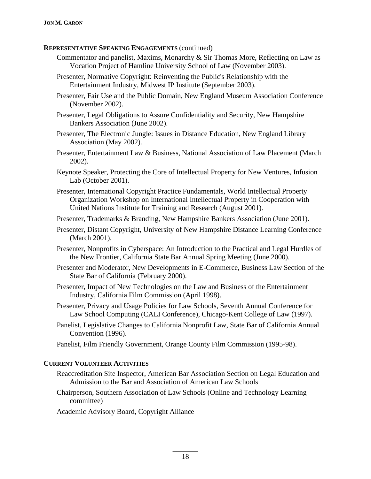- Commentator and panelist, Maxims, Monarchy & Sir Thomas More, Reflecting on Law as Vocation Project of Hamline University School of Law (November 2003).
- Presenter, Normative Copyright: Reinventing the Public's Relationship with the Entertainment Industry, Midwest IP Institute (September 2003).
- Presenter, Fair Use and the Public Domain, New England Museum Association Conference (November 2002).
- Presenter, Legal Obligations to Assure Confidentiality and Security, New Hampshire Bankers Association (June 2002).
- Presenter, The Electronic Jungle: Issues in Distance Education, New England Library Association (May 2002).
- Presenter, Entertainment Law & Business, National Association of Law Placement (March 2002).
- Keynote Speaker, Protecting the Core of Intellectual Property for New Ventures, Infusion Lab (October 2001).
- Presenter, International Copyright Practice Fundamentals, World Intellectual Property Organization Workshop on International Intellectual Property in Cooperation with United Nations Institute for Training and Research (August 2001).
- Presenter, Trademarks & Branding, New Hampshire Bankers Association (June 2001).
- Presenter, Distant Copyright, University of New Hampshire Distance Learning Conference (March 2001).
- Presenter, Nonprofits in Cyberspace: An Introduction to the Practical and Legal Hurdles of the New Frontier, California State Bar Annual Spring Meeting (June 2000).
- Presenter and Moderator, New Developments in E-Commerce, Business Law Section of the State Bar of California (February 2000).
- Presenter, Impact of New Technologies on the Law and Business of the Entertainment Industry, California Film Commission (April 1998).
- Presenter, Privacy and Usage Policies for Law Schools, Seventh Annual Conference for Law School Computing (CALI Conference), Chicago-Kent College of Law (1997).
- Panelist, Legislative Changes to California Nonprofit Law, State Bar of California Annual Convention (1996).
- Panelist, Film Friendly Government, Orange County Film Commission (1995-98).

# **CURRENT VOLUNTEER ACTIVITIES**

- Reaccreditation Site Inspector, American Bar Association Section on Legal Education and Admission to the Bar and Association of American Law Schools
- Chairperson, Southern Association of Law Schools (Online and Technology Learning committee)
- Academic Advisory Board, Copyright Alliance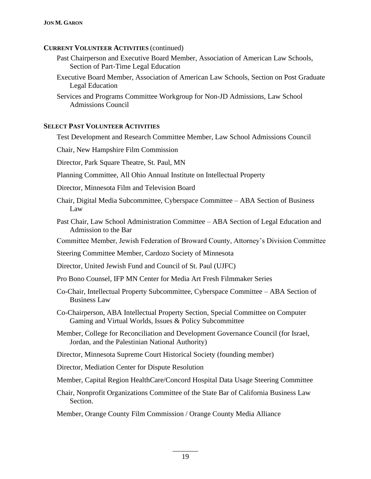# **CURRENT VOLUNTEER ACTIVITIES** (continued)

- Past Chairperson and Executive Board Member, Association of American Law Schools, Section of Part-Time Legal Education
- Executive Board Member, Association of American Law Schools, Section on Post Graduate Legal Education
- Services and Programs Committee Workgroup for Non-JD Admissions, Law School Admissions Council

# **SELECT PAST VOLUNTEER ACTIVITIES**

- Test Development and Research Committee Member, Law School Admissions Council Chair, New Hampshire Film Commission Director, Park Square Theatre, St. Paul, MN Planning Committee, All Ohio Annual Institute on Intellectual Property Director, Minnesota Film and Television Board Chair, Digital Media Subcommittee, Cyberspace Committee – ABA Section of Business Law Past Chair, Law School Administration Committee – ABA Section of Legal Education and Admission to the Bar Committee Member, Jewish Federation of Broward County, Attorney's Division Committee Steering Committee Member, Cardozo Society of Minnesota Director, United Jewish Fund and Council of St. Paul (UJFC) Pro Bono Counsel, IFP MN Center for Media Art Fresh Filmmaker Series Co-Chair, Intellectual Property Subcommittee, Cyberspace Committee – ABA Section of Business Law Co-Chairperson, ABA Intellectual Property Section, Special Committee on Computer Gaming and Virtual Worlds, Issues & Policy Subcommittee Member, College for Reconciliation and Development Governance Council (for Israel, Jordan, and the Palestinian National Authority) Director, Minnesota Supreme Court Historical Society (founding member) Director, Mediation Center for Dispute Resolution Member, Capital Region HealthCare/Concord Hospital Data Usage Steering Committee Chair, Nonprofit Organizations Committee of the State Bar of California Business Law Section.
	- Member, Orange County Film Commission / Orange County Media Alliance